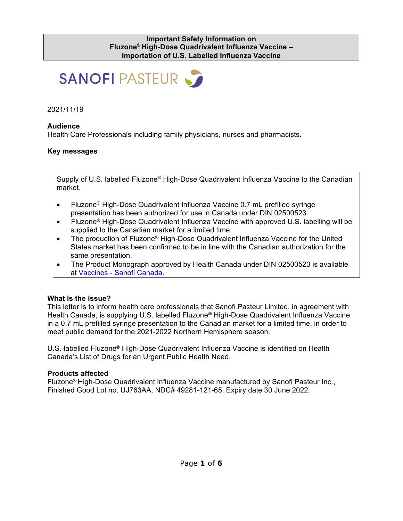#### **Important Safety Information on Fluzone® High-Dose Quadrivalent Influenza Vaccine – Importation of U.S. Labelled Influenza Vaccine**



#### 2021/11/19

#### **Audience**

Health Care Professionals including family physicians, nurses and pharmacists.

#### **Key messages**

Supply of U.S. labelled Fluzone® High-Dose Quadrivalent Influenza Vaccine to the Canadian market.

- Fluzone® High-Dose Quadrivalent Influenza Vaccine 0.7 mL prefilled syringe presentation has been authorized for use in Canada under DIN 02500523.
- Fluzone® High-Dose Quadrivalent Influenza Vaccine with approved U.S. labelling will be supplied to the Canadian market for a limited time.
- The production of Fluzone® High-Dose Quadrivalent Influenza Vaccine for the United States market has been confirmed to be in line with the Canadian authorization for the same presentation.
- The Product Monograph approved by Health Canada under DIN 02500523 is available at Vaccines - Sanofi Canada.

#### **What is the issue?**

This letter is to inform health care professionals that Sanofi Pasteur Limited, in agreement with Health Canada, is supplying U.S. labelled Fluzone® High-Dose Quadrivalent Influenza Vaccine in a 0.7 mL prefilled syringe presentation to the Canadian market for a limited time, in order to meet public demand for the 2021-2022 Northern Hemisphere season.

U.S.-labelled Fluzone® High-Dose Quadrivalent Influenza Vaccine is identified on Health Canada's List of Drugs for an Urgent Public Health Need.

#### **Products affected**

Fluzone® High-Dose Quadrivalent Influenza Vaccine manufactured by Sanofi Pasteur Inc., Finished Good Lot no. UJ763AA, NDC# 49281-121-65, Expiry date 30 June 2022.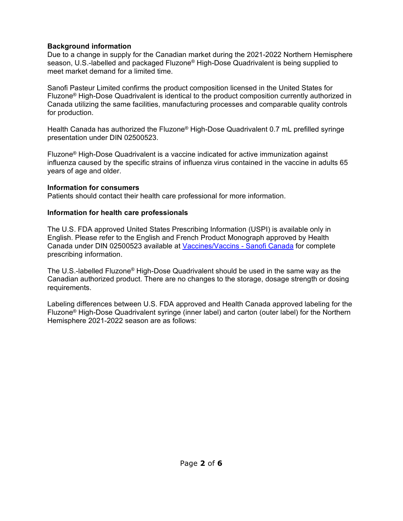# **Background information**

Due to a change in supply for the Canadian market during the 2021-2022 Northern Hemisphere season, U.S.-labelled and packaged Fluzone® High-Dose Quadrivalent is being supplied to meet market demand for a limited time.

Sanofi Pasteur Limited confirms the product composition licensed in the United States for Fluzone® High-Dose Quadrivalent is identical to the product composition currently authorized in Canada utilizing the same facilities, manufacturing processes and comparable quality controls for production.

Health Canada has authorized the Fluzone® High-Dose Quadrivalent 0.7 mL prefilled syringe presentation under DIN 02500523.

Fluzone® High-Dose Quadrivalent is a vaccine indicated for active immunization against influenza caused by the specific strains of influenza virus contained in the vaccine in adults 65 years of age and older.

#### **Information for consumers**

Patients should contact their health care professional for more information.

## **Information for health care professionals**

The U.S. FDA approved United States Prescribing Information (USPI) is available only in English. Please refer to the English and French Product Monograph approved by Health Canada under DIN 02500523 available at Vaccines/Vaccins - Sanofi Canada for complete prescribing information.

The U.S.-labelled Fluzone® High-Dose Quadrivalent should be used in the same way as the Canadian authorized product. There are no changes to the storage, dosage strength or dosing requirements.

Labeling differences between U.S. FDA approved and Health Canada approved labeling for the Fluzone® High-Dose Quadrivalent syringe (inner label) and carton (outer label) for the Northern Hemisphere 2021-2022 season are as follows: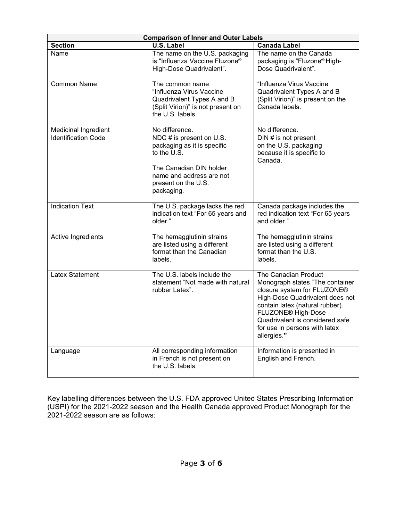| <b>Comparison of Inner and Outer Labels</b> |                                                                                                                                                                    |                                                                                                                                                                                                                                                                                   |  |  |
|---------------------------------------------|--------------------------------------------------------------------------------------------------------------------------------------------------------------------|-----------------------------------------------------------------------------------------------------------------------------------------------------------------------------------------------------------------------------------------------------------------------------------|--|--|
| <b>Section</b>                              | <b>U.S. Label</b>                                                                                                                                                  | <b>Canada Label</b>                                                                                                                                                                                                                                                               |  |  |
| Name                                        | The name on the U.S. packaging<br>is "Influenza Vaccine Fluzone®<br>High-Dose Quadrivalent".                                                                       | The name on the Canada<br>packaging is "Fluzone® High-<br>Dose Quadrivalent".                                                                                                                                                                                                     |  |  |
| <b>Common Name</b>                          | The common name<br>"Influenza Virus Vaccine<br>Quadrivalent Types A and B<br>(Split Virion)" is not present on<br>the U.S. labels.                                 | "Influenza Virus Vaccine<br>Quadrivalent Types A and B<br>(Split Virion)" is present on the<br>Canada labels.                                                                                                                                                                     |  |  |
| <b>Medicinal Ingredient</b>                 | No difference.                                                                                                                                                     | No difference.                                                                                                                                                                                                                                                                    |  |  |
| <b>Identification Code</b>                  | NDC # is present on U.S.<br>packaging as it is specific<br>to the U.S.<br>The Canadian DIN holder<br>name and address are not<br>present on the U.S.<br>packaging. | $DIN \#$ is not present<br>on the U.S. packaging<br>because it is specific to<br>Canada.                                                                                                                                                                                          |  |  |
|                                             |                                                                                                                                                                    |                                                                                                                                                                                                                                                                                   |  |  |
| <b>Indication Text</b>                      | The U.S. package lacks the red<br>indication text "For 65 years and<br>older."                                                                                     | Canada package includes the<br>red indication text "For 65 years<br>and older."                                                                                                                                                                                                   |  |  |
| Active Ingredients                          | The hemagglutinin strains<br>are listed using a different<br>format than the Canadian<br>labels.                                                                   | The hemagglutinin strains<br>are listed using a different<br>format than the U.S.<br>labels.                                                                                                                                                                                      |  |  |
| <b>Latex Statement</b>                      | The U.S. labels include the<br>statement "Not made with natural<br>rubber Latex".                                                                                  | The Canadian Product<br>Monograph states "The container<br>closure system for FLUZONE®<br>High-Dose Quadrivalent does not<br>contain latex (natural rubber).<br>FLUZONE <sup>®</sup> High-Dose<br>Quadrivalent is considered safe<br>for use in persons with latex<br>allergies." |  |  |
| Language                                    | All corresponding information<br>in French is not present on<br>the U.S. labels.                                                                                   | Information is presented in<br>English and French.                                                                                                                                                                                                                                |  |  |

Key labelling differences between the U.S. FDA approved United States Prescribing Information (USPI) for the 2021-2022 season and the Health Canada approved Product Monograph for the 2021-2022 season are as follows: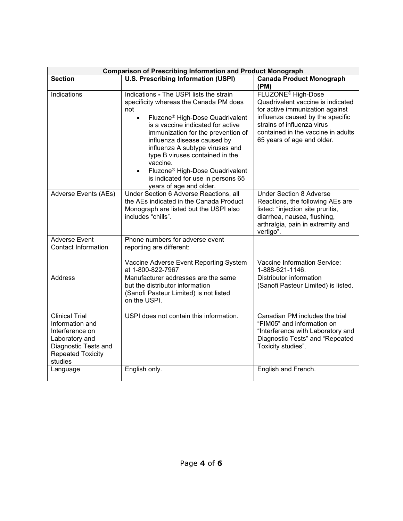| <b>Comparison of Prescribing Information and Product Monograph</b>                                                                           |                                                                                                                                                                                                                                                                                                                                                                                                                                                                               |                                                                                                                                                                                                                                              |  |  |
|----------------------------------------------------------------------------------------------------------------------------------------------|-------------------------------------------------------------------------------------------------------------------------------------------------------------------------------------------------------------------------------------------------------------------------------------------------------------------------------------------------------------------------------------------------------------------------------------------------------------------------------|----------------------------------------------------------------------------------------------------------------------------------------------------------------------------------------------------------------------------------------------|--|--|
| <b>Section</b>                                                                                                                               | <b>U.S. Prescribing Information (USPI)</b>                                                                                                                                                                                                                                                                                                                                                                                                                                    | <b>Canada Product Monograph</b><br>(PM)                                                                                                                                                                                                      |  |  |
| Indications                                                                                                                                  | Indications - The USPI lists the strain<br>specificity whereas the Canada PM does<br>not<br>Fluzone <sup>®</sup> High-Dose Quadrivalent<br>$\bullet$<br>is a vaccine indicated for active<br>immunization for the prevention of<br>influenza disease caused by<br>influenza A subtype viruses and<br>type B viruses contained in the<br>vaccine.<br>Fluzone <sup>®</sup> High-Dose Quadrivalent<br>$\bullet$<br>is indicated for use in persons 65<br>years of age and older. | FLUZONE <sup>®</sup> High-Dose<br>Quadrivalent vaccine is indicated<br>for active immunization against<br>influenza caused by the specific<br>strains of influenza virus<br>contained in the vaccine in adults<br>65 years of age and older. |  |  |
| Adverse Events (AEs)                                                                                                                         | Under Section 6 Adverse Reactions, all<br>the AEs indicated in the Canada Product<br>Monograph are listed but the USPI also<br>includes "chills".                                                                                                                                                                                                                                                                                                                             | <b>Under Section 8 Adverse</b><br>Reactions, the following AEs are<br>listed: "injection site pruritis,<br>diarrhea, nausea, flushing,<br>arthralgia, pain in extremity and<br>vertigo".                                                     |  |  |
| <b>Adverse Event</b><br><b>Contact Information</b>                                                                                           | Phone numbers for adverse event<br>reporting are different:                                                                                                                                                                                                                                                                                                                                                                                                                   |                                                                                                                                                                                                                                              |  |  |
|                                                                                                                                              | Vaccine Adverse Event Reporting System<br>at 1-800-822-7967                                                                                                                                                                                                                                                                                                                                                                                                                   | Vaccine Information Service:<br>1-888-621-1146.                                                                                                                                                                                              |  |  |
| <b>Address</b>                                                                                                                               | Manufacturer addresses are the same<br>but the distributor information<br>(Sanofi Pasteur Limited) is not listed<br>on the USPI.                                                                                                                                                                                                                                                                                                                                              | <b>Distributor information</b><br>(Sanofi Pasteur Limited) is listed.                                                                                                                                                                        |  |  |
| <b>Clinical Trial</b><br>Information and<br>Interference on<br>Laboratory and<br>Diagnostic Tests and<br><b>Repeated Toxicity</b><br>studies | USPI does not contain this information.                                                                                                                                                                                                                                                                                                                                                                                                                                       | Canadian PM includes the trial<br>"FIM05" and information on<br>"Interference with Laboratory and<br>Diagnostic Tests" and "Repeated<br>Toxicity studies".                                                                                   |  |  |
| Language                                                                                                                                     | English only.                                                                                                                                                                                                                                                                                                                                                                                                                                                                 | English and French.                                                                                                                                                                                                                          |  |  |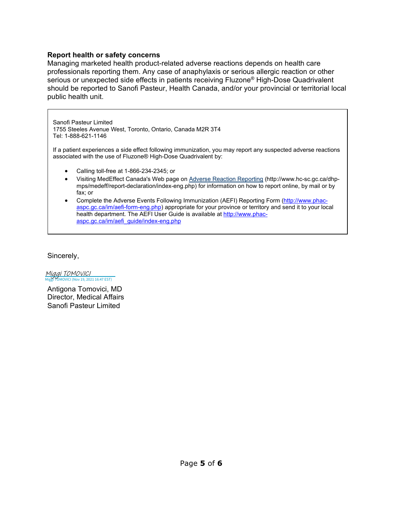#### **Report health or safety concerns**

Managing marketed health product-related adverse reactions depends on health care professionals reporting them. Any case of anaphylaxis or serious allergic reaction or other serious or unexpected side effects in patients receiving Fluzone® High-Dose Quadrivalent should be reported to Sanofi Pasteur, Health Canada, and/or your provincial or territorial local public health unit.

Sanofi Pasteur Limited 1755 Steeles Avenue West, Toronto, Ontario, Canada M2R 3T4 Tel: 1-888-621-1146

If a patient experiences a side effect following immunization, you may report any suspected adverse reactions associated with the use of Fluzone® High-Dose Quadrivalent by:

- Calling toll-free at 1-866-234-2345; or
- Visiting MedEffect Canada's Web page on Adverse Reaction Reporting (http://www.hc-sc.gc.ca/dhpmps/medeff/report-declaration/index-eng.php) for information on how to report online, by mail or by fax; or
- Complete the Adverse Events Following Immunization (AEFI) Reporting Form (http://www.phacaspc.gc.ca/im/aefi-form-eng.php) appropriate for your province or territory and send it to your local health department. The AEFI User Guide is available at http://www.phacaspc.gc.ca/im/aefi\_guide/index-eng.php

Sincerely,

**ICI (Nov 19, 2021 16:47 EST)** [Miggi TOMOVICI](https://secure.eu1.echosign.com/verifier?tx=CBJCHBCAABAAYDDfe8e44cMTHdKmZO6OIzYjIGRrdxxl)

Antigona Tomovici, MD Director, Medical Affairs Sanofi Pasteur Limited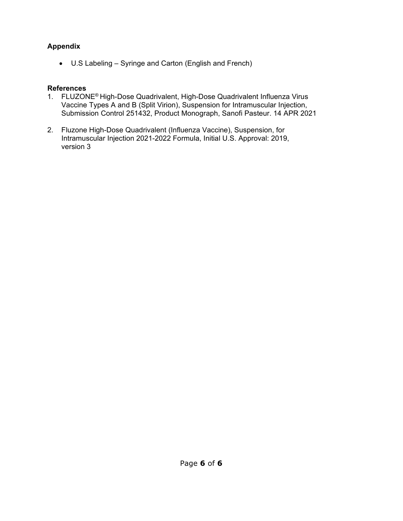# **Appendix**

• U.S Labeling – Syringe and Carton (English and French)

# **References**

- 1. FLUZONE® High-Dose Quadrivalent, High-Dose Quadrivalent Influenza Virus Vaccine Types A and B (Split Virion), Suspension for Intramuscular Injection, Submission Control 251432, Product Monograph, Sanofi Pasteur. 14 APR 2021
- 2. Fluzone High-Dose Quadrivalent (Influenza Vaccine), Suspension, for Intramuscular Injection 2021-2022 Formula, Initial U.S. Approval: 2019, version 3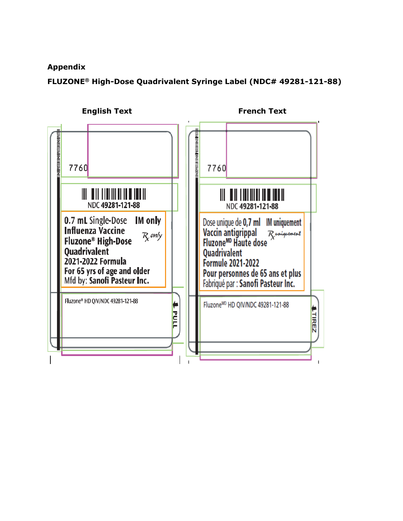# **Appendix**

**FLUZONE® High-Dose Quadrivalent Syringe Label (NDC# 49281-121-88)**

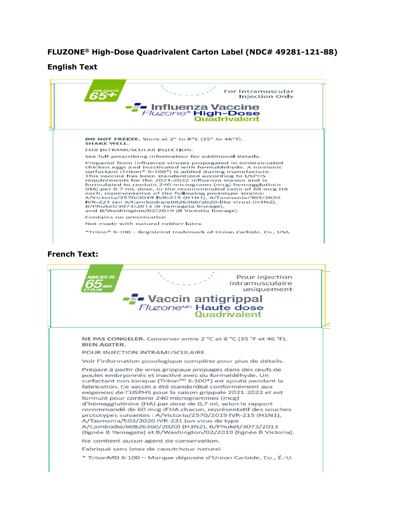# **FLUZONE® High-Dose Quadrivalent Carton Label (NDC# 49281-121-88)**

#### **English Text**

| <b>FOR ADULTS</b><br>For Intramuscular<br><b>Injection Only</b><br><mark>--</mark> Influenza Vaccine<br>Fluzone® High-Dose<br>Quadrivalent                                                                                                                                                                                                                                                                                                                                                                                                                                                                                                                                                                                                   |
|----------------------------------------------------------------------------------------------------------------------------------------------------------------------------------------------------------------------------------------------------------------------------------------------------------------------------------------------------------------------------------------------------------------------------------------------------------------------------------------------------------------------------------------------------------------------------------------------------------------------------------------------------------------------------------------------------------------------------------------------|
| DO NOT FREEZE. Store at 2° to 8°C (35° to 46°F).<br><b>SHAKE WELL.</b>                                                                                                                                                                                                                                                                                                                                                                                                                                                                                                                                                                                                                                                                       |
| FOR INTRAMUSCULAR INJECTION.                                                                                                                                                                                                                                                                                                                                                                                                                                                                                                                                                                                                                                                                                                                 |
| See full prescribing information for additional details.                                                                                                                                                                                                                                                                                                                                                                                                                                                                                                                                                                                                                                                                                     |
| Prepared from influenza viruses propagated in embryonated<br>chicken eggs and inactivated with formaldehyde. A nonionic<br>surfactant (Triton <sup>®</sup> X-100 <sup>*</sup> ) is added during manufacture.<br>This vaccine has been standardized according to USPHS<br>requirements for the 2021-2022 influenza season and is<br>formulated to contain 240 micrograms (mcg) hemagglutinin<br>(HA) per 0.7 mL dose, in the recommended ratio of 60 mcg HA<br>each, representative of the following prototype strains:<br>A/Victoria/2570/2019 IVR-215 (H1N1), A/Tasmania/503/2020<br>IVR-221 (an A/Cambodia/e0826360/2020-like virus) (H3N2).<br>B/Phuket/3073/2013 (B Yamagata lineage).<br>and B/Washington/02/2019 (B Victoria lineage). |
| Contains no preservative.                                                                                                                                                                                                                                                                                                                                                                                                                                                                                                                                                                                                                                                                                                                    |
| Not made with natural rubber latex.                                                                                                                                                                                                                                                                                                                                                                                                                                                                                                                                                                                                                                                                                                          |
| *Triton® X-100 - Registered trademark of Union Carbide, Co., USA.                                                                                                                                                                                                                                                                                                                                                                                                                                                                                                                                                                                                                                                                            |

### **French Text:**